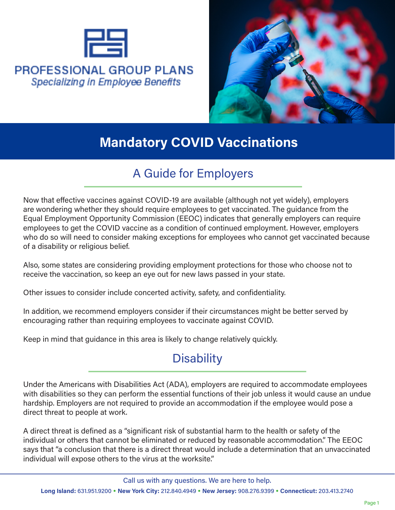

#### **PROFESSIONAL GROUP PLANS** Specializing in Employee Benefits



# **Mandatory COVID Vaccinations**

## A Guide for Employers

Now that effective vaccines against COVID-19 are available (although not yet widely), employers are wondering whether they should require employees to get vaccinated. The guidance from the Equal Employment Opportunity Commission (EEOC) indicates that generally employers can require employees to get the COVID vaccine as a condition of continued employment. However, employers who do so will need to consider making exceptions for employees who cannot get vaccinated because of a disability or religious belief.

Also, some states are considering providing employment protections for those who choose not to receive the vaccination, so keep an eye out for new laws passed in your state.

Other issues to consider include concerted activity, safety, and confidentiality.

In addition, we recommend employers consider if their circumstances might be better served by encouraging rather than requiring employees to vaccinate against COVID.

Keep in mind that guidance in this area is likely to change relatively quickly.

# **Disability**

Under the Americans with Disabilities Act (ADA), employers are required to accommodate employees with disabilities so they can perform the essential functions of their job unless it would cause an undue hardship. Employers are not required to provide an accommodation if the employee would pose a direct threat to people at work.

A direct threat is defined as a "significant risk of substantial harm to the health or safety of the individual or others that cannot be eliminated or reduced by reasonable accommodation." The EEOC says that "a conclusion that there is a direct threat would include a determination that an unvaccinated individual will expose others to the virus at the worksite."

Call us with any questions. We are here to help.

**Long Island:** 631.951.9200 • **New York City:** 212.840.4949 • **New Jersey:** 908.276.9399 • **Connecticut:** 203.413.2740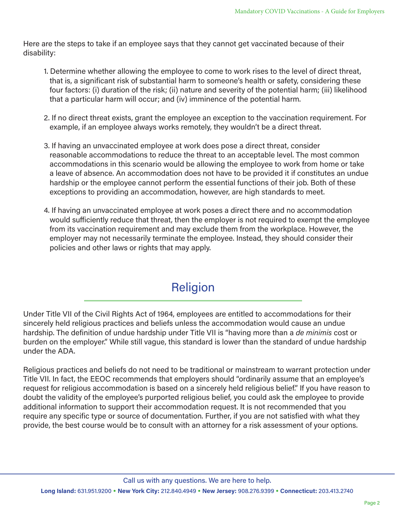Here are the steps to take if an employee says that they cannot get vaccinated because of their disability:

- 1. Determine whether allowing the employee to come to work rises to the level of direct threat, that is, a significant risk of substantial harm to someone's health or safety, considering these four factors: (i) duration of the risk; (ii) nature and severity of the potential harm; (iii) likelihood that a particular harm will occur; and (iv) imminence of the potential harm.
- 2. If no direct threat exists, grant the employee an exception to the vaccination requirement. For example, if an employee always works remotely, they wouldn't be a direct threat.
- 3. If having an unvaccinated employee at work does pose a direct threat, consider reasonable accommodations to reduce the threat to an acceptable level. The most common accommodations in this scenario would be allowing the employee to work from home or take a leave of absence. An accommodation does not have to be provided it if constitutes an undue hardship or the employee cannot perform the essential functions of their job. Both of these exceptions to providing an accommodation, however, are high standards to meet.
- 4. If having an unvaccinated employee at work poses a direct there and no accommodation would sufficiently reduce that threat, then the employer is not required to exempt the employee from its vaccination requirement and may exclude them from the workplace. However, the employer may not necessarily terminate the employee. Instead, they should consider their policies and other laws or rights that may apply.

# Religion

Under Title VII of the Civil Rights Act of 1964, employees are entitled to accommodations for their sincerely held religious practices and beliefs unless the accommodation would cause an undue hardship. The definition of undue hardship under Title VII is "having more than a *de minimis* cost or burden on the employer." While still vague, this standard is lower than the standard of undue hardship under the ADA.

Religious practices and beliefs do not need to be traditional or mainstream to warrant protection under Title VII. In fact, the EEOC recommends that employers should "ordinarily assume that an employee's request for religious accommodation is based on a sincerely held religious belief." If you have reason to doubt the validity of the employee's purported religious belief, you could ask the employee to provide additional information to support their accommodation request. It is not recommended that you require any specific type or source of documentation. Further, if you are not satisfied with what they provide, the best course would be to consult with an attorney for a risk assessment of your options.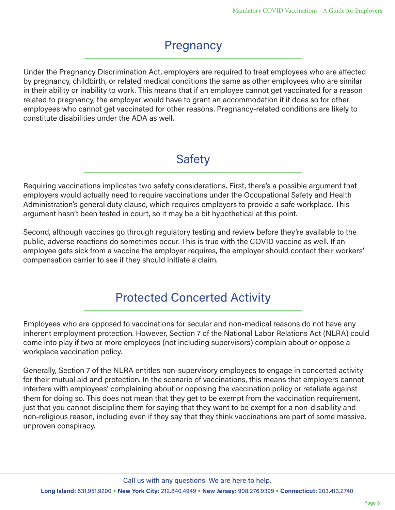# **Pregnancy**

Under the Pregnancy Discrimination Act, employers are required to treat employees who are affected by pregnancy, childbirth, or related medical conditions the same as other employees who are similar in their ability or inability to work. This means that if an employee cannot get vaccinated for a reason related to pregnancy, the employer would have to grant an accommodation if it does so for other employees who cannot get vaccinated for other reasons. Pregnancy-related conditions are likely to constitute disabilities under the ADA as well.

## **Safety**

Requiring vaccinations implicates two safety considerations. First, there's a possible argument that employers would actually need to require vaccinations under the Occupational Safety and Health Administration's general duty clause, which requires employers to provide a safe workplace. This argument hasn't been tested in court, so it may be a bit hypothetical at this point.

Second, although vaccines go through regulatory testing and review before they're available to the public, adverse reactions do sometimes occur. This is true with the COVID vaccine as well. If an employee gets sick from a vaccine the employer requires, the employer should contact their workers' compensation carrier to see if they should initiate a claim.

## Protected Concerted Activity

Employees who are opposed to vaccinations for secular and non-medical reasons do not have any inherent employment protection. However, Section 7 of the National Labor Relations Act (NLRA) could come into play if two or more employees (not including supervisors) complain about or oppose a workplace vaccination policy.

Generally, Section 7 of the NLRA entitles non-supervisory employees to engage in concerted activity for their mutual aid and protection. In the scenario of vaccinations, this means that employers cannot interfere with employees' complaining about or opposing the vaccination policy or retaliate against them for doing so. This does not mean that they get to be exempt from the vaccination requirement, just that you cannot discipline them for saying that they want to be exempt for a non-disability and non-religious reason, including even if they say that they think vaccinations are part of some massive, unproven conspiracy.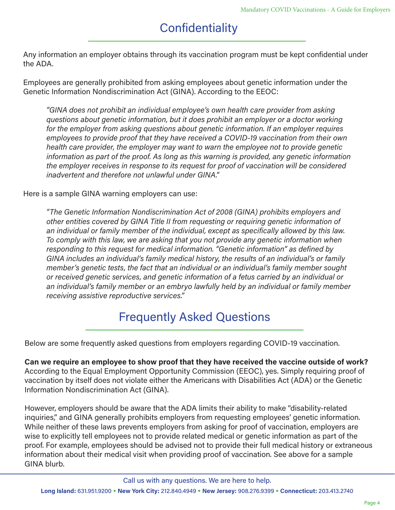# **Confidentiality**

Any information an employer obtains through its vaccination program must be kept confidential under the ADA.

Employees are generally prohibited from asking employees about genetic information under the Genetic Information Nondiscrimination Act (GINA). According to the EEOC:

*"GINA does not prohibit an individual employee's own health care provider from asking questions about genetic information, but it does prohibit an employer or a doctor working for the employer from asking questions about genetic information. If an employer requires employees to provide proof that they have received a COVID-19 vaccination from their own health care provider, the employer may want to warn the employee not to provide genetic information as part of the proof. As long as this warning is provided, any genetic information the employer receives in response to its request for proof of vaccination will be considered inadvertent and therefore not unlawful under GINA."*

Here is a sample GINA warning employers can use:

*"The Genetic Information Nondiscrimination Act of 2008 (GINA) prohibits employers and other entities covered by GINA Title II from requesting or requiring genetic information of an individual or family member of the individual, except as specifically allowed by this law. To comply with this law, we are asking that you not provide any genetic information when responding to this request for medical information. "Genetic information" as defined by GINA includes an individual's family medical history, the results of an individual's or family member's genetic tests, the fact that an individual or an individual's family member sought or received genetic services, and genetic information of a fetus carried by an individual or an individual's family member or an embryo lawfully held by an individual or family member receiving assistive reproductive services."*

### Frequently Asked Questions

Below are some frequently asked questions from employers regarding COVID-19 vaccination.

**Can we require an employee to show proof that they have received the vaccine outside of work?** According to the Equal Employment Opportunity Commission (EEOC), yes. Simply requiring proof of vaccination by itself does not violate either the Americans with Disabilities Act (ADA) or the Genetic Information Nondiscrimination Act (GINA).

However, employers should be aware that the ADA limits their ability to make "disability-related inquiries," and GINA generally prohibits employers from requesting employees' genetic information. While neither of these laws prevents employers from asking for proof of vaccination, employers are wise to explicitly tell employees not to provide related medical or genetic information as part of the proof. For example, employees should be advised not to provide their full medical history or extraneous information about their medical visit when providing proof of vaccination. See above for a sample GINA blurb.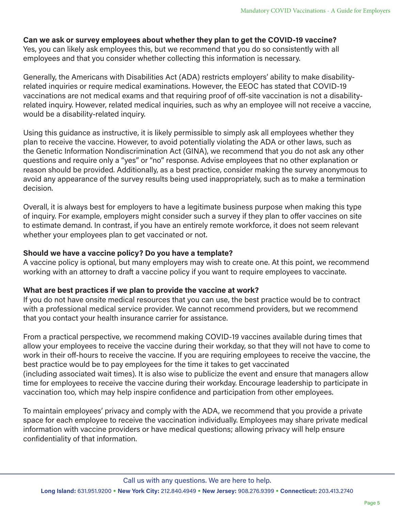**Can we ask or survey employees about whether they plan to get the COVID-19 vaccine?** Yes, you can likely ask employees this, but we recommend that you do so consistently with all employees and that you consider whether collecting this information is necessary.

Generally, the Americans with Disabilities Act (ADA) restricts employers' ability to make disabilityrelated inquiries or require medical examinations. However, the EEOC has stated that COVID-19 vaccinations are not medical exams and that requiring proof of off-site vaccination is not a disabilityrelated inquiry. However, related medical inquiries, such as why an employee will not receive a vaccine, would be a disability-related inquiry.

Using this guidance as instructive, it is likely permissible to simply ask all employees whether they plan to receive the vaccine. However, to avoid potentially violating the ADA or other laws, such as the Genetic Information Nondiscrimination Act (GINA), we recommend that you do not ask any other questions and require only a "yes" or "no" response. Advise employees that no other explanation or reason should be provided. Additionally, as a best practice, consider making the survey anonymous to avoid any appearance of the survey results being used inappropriately, such as to make a termination decision.

Overall, it is always best for employers to have a legitimate business purpose when making this type of inquiry. For example, employers might consider such a survey if they plan to offer vaccines on site to estimate demand. In contrast, if you have an entirely remote workforce, it does not seem relevant whether your employees plan to get vaccinated or not.

#### **Should we have a vaccine policy? Do you have a template?**

A vaccine policy is optional, but many employers may wish to create one. At this point, we recommend working with an attorney to draft a vaccine policy if you want to require employees to vaccinate.

#### **What are best practices if we plan to provide the vaccine at work?**

If you do not have onsite medical resources that you can use, the best practice would be to contract with a professional medical service provider. We cannot recommend providers, but we recommend that you contact your health insurance carrier for assistance.

From a practical perspective, we recommend making COVID-19 vaccines available during times that allow your employees to receive the vaccine during their workday, so that they will not have to come to work in their off-hours to receive the vaccine. If you are requiring employees to receive the vaccine, the best practice would be to pay employees for the time it takes to get vaccinated (including associated wait times). It is also wise to publicize the event and ensure that managers allow time for employees to receive the vaccine during their workday. Encourage leadership to participate in vaccination too, which may help inspire confidence and participation from other employees.

To maintain employees' privacy and comply with the ADA, we recommend that you provide a private space for each employee to receive the vaccination individually. Employees may share private medical information with vaccine providers or have medical questions; allowing privacy will help ensure confidentiality of that information.